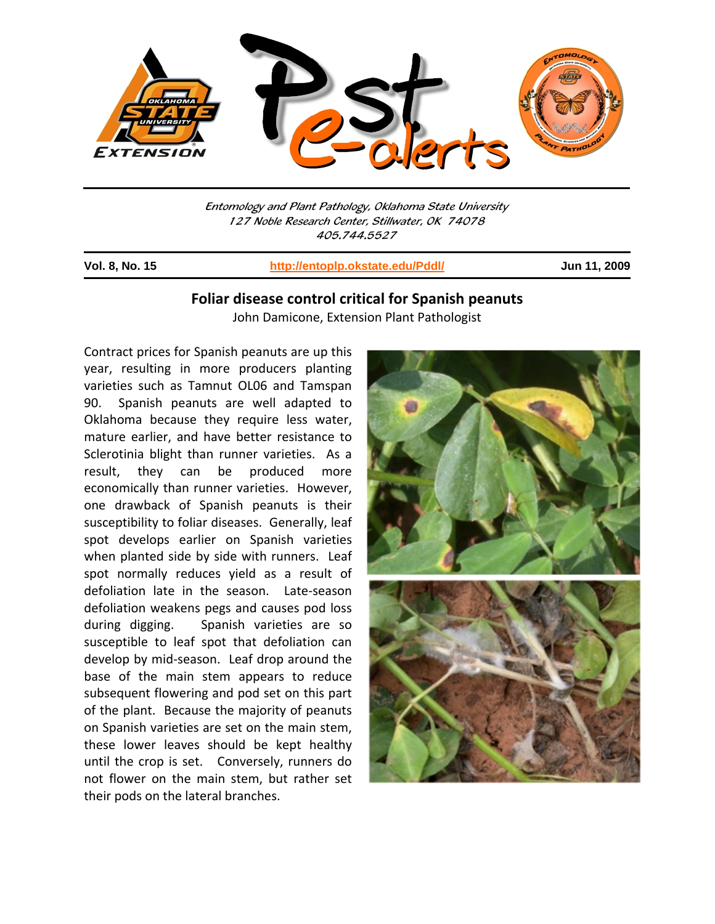

Entomology and Plant Pathology, Oklahoma State University 127 Noble Research Center, Stillwater, OK 74078 405.744.5527

j

**Vol. 8, No. 15 http://entoplp.okstate.edu/Pddl/ Jun 11, 2009**

## **Foliar disease control critical for Spanish peanuts** John Damicone, Extension Plant Pathologist

Contract prices for Spanish peanuts are up this year, resulting in more producers planting varieties such as Tamnut OL06 and Tamspan 90. Spanish peanuts are well adapted to Oklahoma because they require less water, mature earlier, and have better resistance to Sclerotinia blight than runner varieties. As a result, they can be produced more economically than runner varieties. However, one drawback of Spanish peanuts is their susceptibility to foliar diseases. Generally, leaf spot develops earlier on Spanish varieties when planted side by side with runners. Leaf spot normally reduces yield as a result of defoliation late in the season. Late‐season defoliation weakens pegs and causes pod loss during digging. Spanish varieties are so susceptible to leaf spot that defoliation can develop by mid‐season. Leaf drop around the base of the main stem appears to reduce subsequent flowering and pod set on this part of the plant. Because the majority of peanuts on Spanish varieties are set on the main stem, these lower leaves should be kept healthy until the crop is set. Conversely, runners do not flower on the main stem, but rather set their pods on the lateral branches.